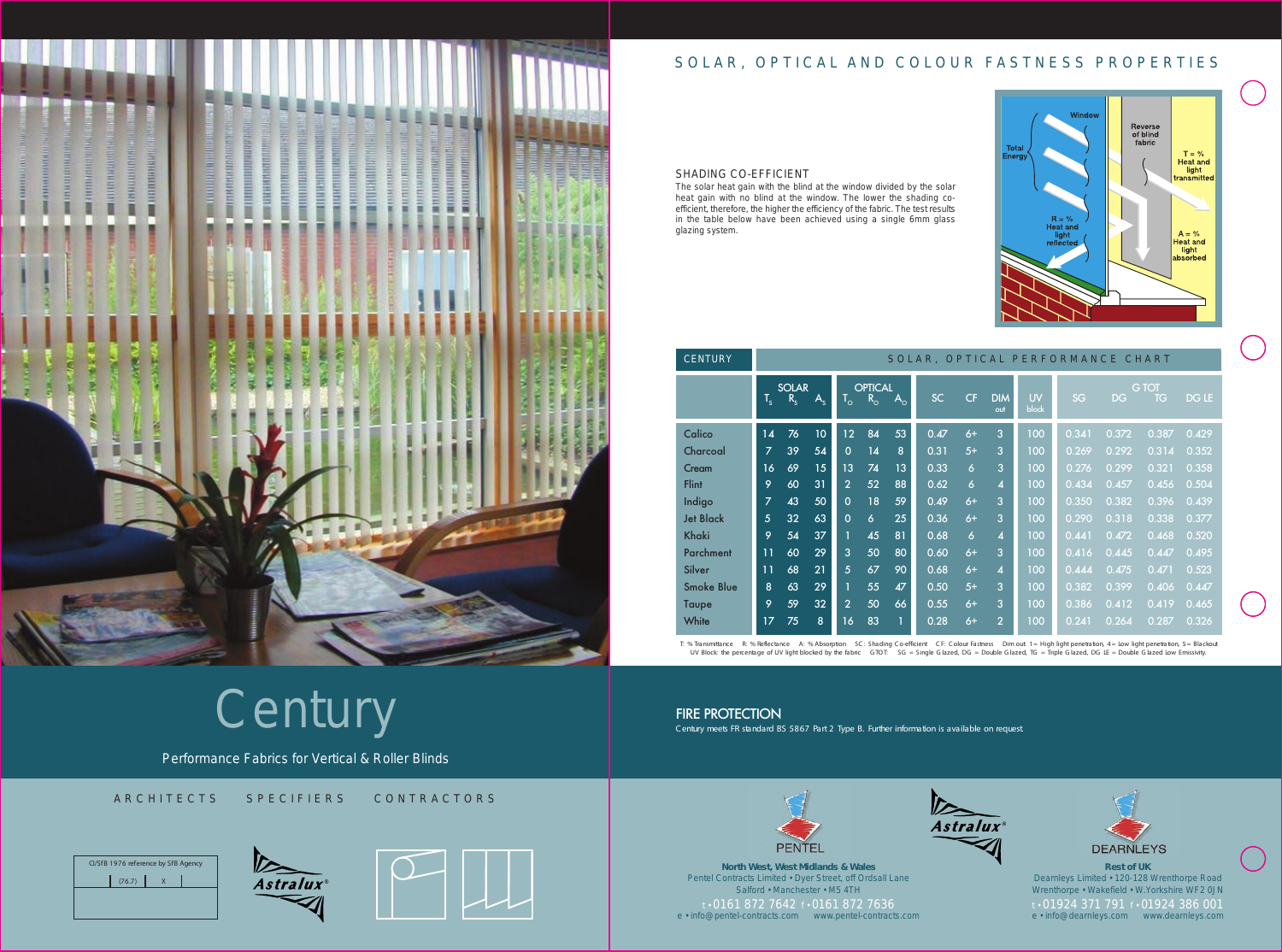

# SOLAR, OPTICAL AND COLOUR FASTNESS PROPERTIES

FIRE PROTECTION C entury meets FR standard BS 5867 Part 2 Type B. Further information is available on request.





Performance Fabrics for Vertical & Roller Blinds

ARCHITECTS SPECIFIERS CONTRACTORS







## SHADING CO-EFFICIENT

The solar heat gain with the blind at the window divided by the solar heat gain with no blind at the window. The lower the shading coefficient, therefore, the higher the efficiency of the fabric. The test results in the table below have been achieved using a single 6mm glass glazing system.

| <b>CENTURY</b>    | SOLAR, OPTICAL PERFORMANCE CHART |                         |             |                           |                               |             |           |                     |                         |                    |       |       |                           |              |
|-------------------|----------------------------------|-------------------------|-------------|---------------------------|-------------------------------|-------------|-----------|---------------------|-------------------------|--------------------|-------|-------|---------------------------|--------------|
|                   | $T_{s}$                          | <b>SOLAR</b><br>$R_{s}$ | $A_{\rm c}$ | $\mathsf{T}_{\mathsf{o}}$ | <b>OPTICAL</b><br>$R_{\rm o}$ | $A_{\rm o}$ | <b>SC</b> | CF                  | <b>DIM</b><br>out       | <b>UV</b><br>block | SG    | DG    | <b>G</b> TOT<br><b>TG</b> | <b>DG LE</b> |
| Calico            | 14                               | 76                      | 10          | 12                        | 84                            | 53          | 0.47      | $6+$                | 3                       | 100                | 0.341 | 0.372 | 0.387                     | 0.429        |
| Charcoal          | $\overline{z}$                   | 39                      | 54          | $\Omega$                  | 14                            | 8           | 0.31      | $5+$                | 3                       | 100                | 0.269 | 0.292 | 0.314                     | 0.352        |
| Cream             | 16                               | 69                      | 15          | 13                        | 74                            | 13          | 0.33      | $\overline{6}$      | 3                       | 100                | 0.276 | 0.299 | 0.321                     | 0.358        |
| <b>Flint</b>      | 9                                | 60                      | 31          | $\overline{2}$            | 52                            | 88          | 0.62      | $\ddot{\mathbf{6}}$ | $\overline{4}$          | 100                | 0.434 | 0.457 | 0.456                     | 0.504        |
| Indigo            | $\overline{7}$                   | 43                      | 50          | $\Omega$                  | 18                            | 59          | 0.49      | $6+$                | 3                       | 100                | 0.350 | 0.382 | 0.396                     | 0.439        |
| <b>Jet Black</b>  | $\overline{5}$                   | 32                      | 63          | $\Omega$                  | $\ddot{\mathbf{6}}$           | 25          | 0.36      | $6+$                | 3                       | 100                | 0.290 | 0.318 | 0.338                     | 0.377        |
| Khaki             | 9                                | 54                      | 37          |                           | 45                            | 81          | 0.68      | $\overline{6}$      | $\overline{\mathbf{4}}$ | 100                | 0.441 | 0.472 | 0.468                     | 0.520        |
| <b>Parchment</b>  | 11                               | 60                      | 29          | 3                         | 50                            | 80          | 0.60      | $6+$                | 3                       | 100                | 0.416 | 0.445 | 0.447                     | 0.495        |
| Silver            | 11                               | 68                      | 21          | 5                         | 67                            | 90          | 0.68      | $6+$                | $\overline{\mathbf{4}}$ | 100                | 0.444 | 0.475 | 0.471                     | 0.523        |
| <b>Smoke Blue</b> | 8                                | 63                      | 29          |                           | 55                            | 47          | 0.50      | $5+$                | 3                       | 100                | 0.382 | 0.399 | 0.406                     | 0.447        |
| Taupe             | 9                                | 59                      | 32          | $\overline{2}$            | 50                            | 66          | 0.55      | $6+$                | 3                       | 100                | 0.386 | 0.412 | 0.419                     | 0.465        |
| White             | 17                               | 75                      | 8           | 16                        | 83                            | 1           | 0.28      | $6+$                | $\overline{2}$          | 100                | 0.241 | 0.264 | 0.287                     | 0.326        |

T: % Transmittance R: % Reflectance A: % Absorption SC: Shading Co-efficient CF: Colour Fastness Dim out: 1 = High light penetration, 4 = Low light penetration, 5 = Blackout UV Block: the percentage of UV light blocked by the fabric GTOT: SG = Single Glazed, DG = Double Glazed, TG = Triple Glazed, DG LE = Double Glazed Low Emissivity.

# **Century**

**North West, West Midlands & Wales** Pentel Contracts Limited • Dyer Street, off Ordsall Lane Salford • Manchester • M5 4TH t • 0161 872 7642 f • 0161 872 7636 e • info@pentel-contracts.com www.pentel-contracts.com







**Rest of UK** Dearnleys Limited • 120-128 Wrenthorpe Road Wrenthorpe • Wakefield • W.Yorkshire WF2 0JN t • 01924 371 791 f • 01924 386 001 e • info@dearnleys.com www.dearnleys.com